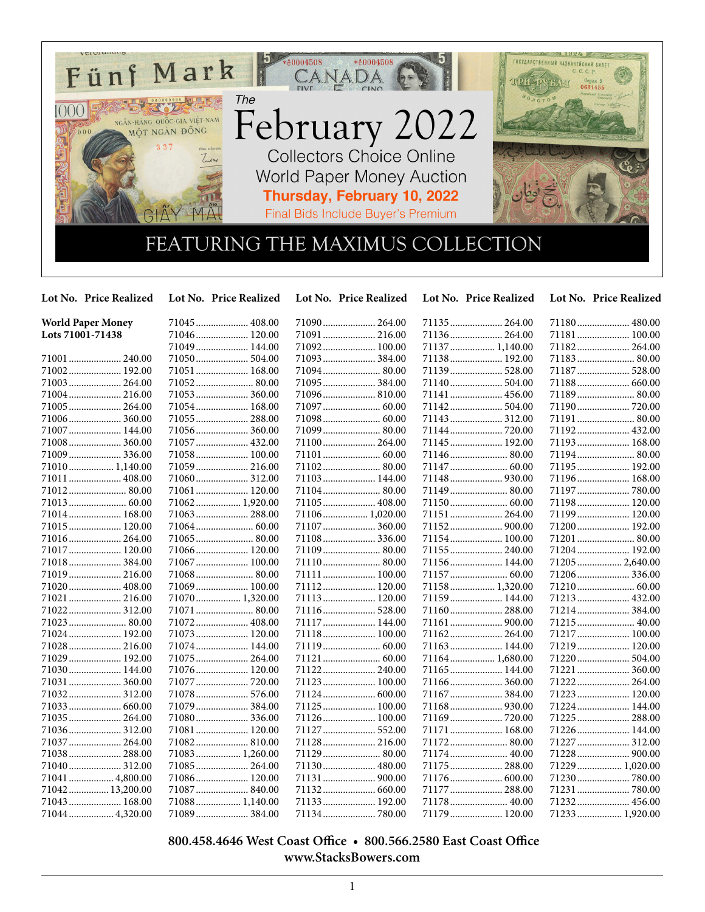

**Lot No. Price Realized Lot No. Price Realized Lot No. Price Realized Lot No. Price Realized Lot No. Price Realized**

| <b>World Paper Money</b> | 71045 408.00     |                | 71135 264.00    | 71180 480.00    |
|--------------------------|------------------|----------------|-----------------|-----------------|
| Lots 71001-71438         | 71046 120.00     | 71091  216.00  |                 | 71181 100.00    |
|                          | 71049 144.00     | 71092 100.00   | 71137  1,140.00 | 71182 264.00    |
| 71001  240.00            | 71050 504.00     | 71093  384.00  | 71138 192.00    | 71183 80.00     |
| 71002 192.00             | 71051 168.00     | 71094 80.00    | 71139 528.00    | 71187  528.00   |
| 71003 264.00             | 71052 80.00      | 71095  384.00  | 71140 504.00    | 71188 660.00    |
| 71004 216.00             | 71053 360.00     |                | 71141  456.00   |                 |
| 71005 264.00             | 71054 168.00     |                |                 | 71190 720.00    |
| 71006 360.00             | 71055 288.00     |                | 71143  312.00   | 71191  80.00    |
| 71007  144.00            | 71056 360.00     | 71099  80.00   | 71144  720.00   | 71192 432.00    |
| 71008 360.00             | 71057 432.00     | 71100 264.00   | 71145  192.00   | 71193 168.00    |
| 71009  336.00            | 71058 100.00     |                |                 | 71194 80.00     |
| 71010 1,140.00           | 71059 216.00     |                |                 | 71195 192.00    |
| 71011  408.00            |                  | 71103 144.00   |                 | 71196 168.00    |
| 71012 80.00              | 71061 120.00     |                | 71149  80.00    |                 |
| 71013 60.00              | 71062 1,920.00   | 71105  408.00  |                 | 71198 120.00    |
| 71014 168.00             | 71063 288.00     | 71106 1,020.00 | 71151  264.00   | 71199 120.00    |
| 71015 120.00             |                  | 71107  360.00  | 71152 900.00    | 71200 192.00    |
| 71016 264.00             |                  | 71108 336.00   | 71154 100.00    | 71201  80.00    |
| 71017 120.00             | 71066 120.00     |                | 71155 240.00    | 71204 192.00    |
| 71018 384.00             | 71067 100.00     |                | 71156 144.00    | 71205 2,640.00  |
| 71019 216.00             | 71068 80.00      | 71111  100.00  |                 | 71206 336.00    |
| 71020  408.00            | 71069 100.00     | 71112 120.00   | 71158 1,320.00  | 71210 60.00     |
| 71021  216.00            | 71070 1,320.00   | 71113 120.00   | 71159 144.00    | 71213 432.00    |
| 71022 312.00             | 71071  80.00     | 71116 528.00   | 71160 288.00    | 71214 384.00    |
| 71023  80.00             | 71072 408.00     | 71117  144.00  | 71161  900.00   | 71215 40.00     |
| 71024 192.00             | 71073 120.00     | 71118 100.00   |                 | 71217  100.00   |
| 71028  216.00            | 71074 144.00     |                | 71163 144.00    | 71219 120.00    |
| 71029  192.00            | 71075 264.00     |                | 71164 1,680.00  | 71220 504.00    |
| 71030 144.00             | 71076 120.00     | 71122 240.00   | 71165 144.00    | 71221  360.00   |
| 71031  360.00            | 71077  720.00    | 71123 100.00   |                 | 71222 264.00    |
| 71032 312.00             | 71078 576.00     | 71124  600.00  |                 | 71223 120.00    |
| 71033 660.00             | 71079 384.00     | 71125  100.00  |                 | 71224 144.00    |
| 71035 264.00             | 71080 336.00     | 71126 100.00   | 71169 720.00    | 71225  288.00   |
| 71036 312.00             | 71081 120.00     | 71127  552.00  | 71171  168.00   | 71226 144.00    |
| 71037  264.00            | 71082 810.00     | 71128 216.00   | 71172 80.00     | 71227  312.00   |
| 71038 288.00             | 71083 1,260.00   | 71129 80.00    |                 |                 |
| 71040 312.00             | 71085 264.00     | 71130 480.00   | 71175  288.00   | 71229  1,020.00 |
| 71041  4,800.00          | 71086 120.00     |                | 71176  600.00   | 71230 780.00    |
| 71042  13,200.00         | 71087 840.00     |                | 71177  288.00   | 71231  780.00   |
| 71043  168.00            | $71088$ 1,140.00 | 71133 192.00   | 71178 40.00     | 71232 456.00    |
| 71044 4,320.00           | 71089 384.00     |                | 71179  120.00   | 71233 1,920.00  |

## **800.458.4646 West Coast Office • 800.566.2580 East Coast Office www.StacksBowers.com**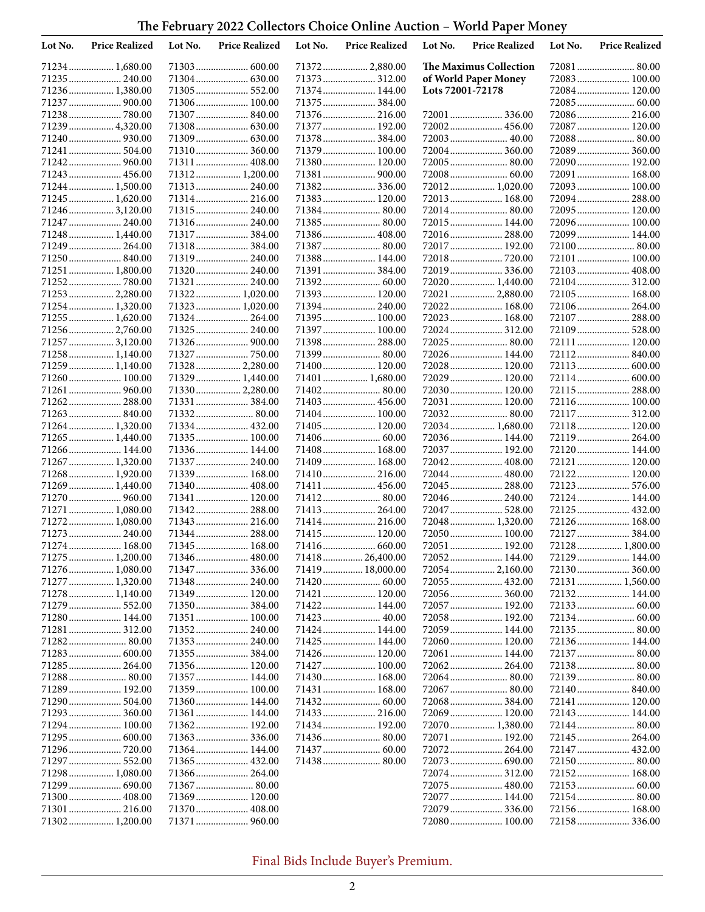**The February 2022 Collectors Choice Online Auction – World Paper Money**

| Lot No. | <b>Price Realized</b>             | Lot No. | <b>Price Realized</b>          | Lot No. | <b>Price Realized</b>         | Lot No.          | <b>Price Realized</b>         | Lot No. | <b>Price Realized</b>         |
|---------|-----------------------------------|---------|--------------------------------|---------|-------------------------------|------------------|-------------------------------|---------|-------------------------------|
|         | 71234  1,680.00                   |         | 71303 600.00                   |         | 71372 2,880.00                |                  | The Maximus Collection        |         | 72081  80.00                  |
|         | 71235  240.00                     |         |                                |         | 71373 312.00                  |                  | of World Paper Money          |         | 72083 100.00                  |
|         | 71236 1,380.00                    |         | 71305 552.00                   |         | 71374 144.00                  | Lots 72001-72178 |                               |         | 72084 120.00                  |
|         | 71237  900.00                     |         | 71306 100.00                   |         | 71375  384.00                 |                  |                               |         |                               |
|         | 71238780.00                       |         | 71307 840.00                   |         | 71376 216.00                  |                  | 72001  336.00                 |         | 72086 216.00                  |
|         | 71239  4,320.00                   |         |                                |         | 71377  192.00                 |                  | 72002 456.00                  |         | 72087 120.00                  |
|         |                                   |         |                                |         | 71378 384.00                  |                  | 72003 40.00                   |         | 72088 80.00                   |
|         | 71241  504.00                     |         | 71310 360.00                   |         | 71379  100.00<br>71380 120.00 |                  | 72004 360.00<br>72005 80.00   |         | 72089 360.00<br>72090 192.00  |
|         | 71243  456.00                     |         | 71311 408.00<br>71312 1,200.00 |         | 71381  900.00                 |                  |                               |         | 72091  168.00                 |
|         | 71244  1,500.00                   |         | 71313 240.00                   |         | 71382 336.00                  |                  | 72012 1,020.00                |         | 72093 100.00                  |
|         | 71245  1,620.00                   |         | 71314 216.00                   |         | 71383 120.00                  |                  | 72013 168.00                  |         | 72094 288.00                  |
|         | 712463,120.00                     |         | 71315 240.00                   |         | 71384 80.00                   |                  | 72014 80.00                   |         | 72095 120.00                  |
|         | 71247  240.00                     |         | 71316 240.00                   |         |                               |                  | 72015 144.00                  |         | 72096 100.00                  |
|         | 71248  1,440.00                   |         | 71317  384.00                  |         | 71386 408.00                  |                  | 72016 288.00                  |         | 72099  144.00                 |
|         | 71249  264.00                     |         | 71318384.00                    |         | 71387 80.00                   |                  | 72017 192.00                  |         |                               |
|         | 71250  840.00                     |         | 71319 240.00                   |         | 71388 144.00                  |                  | 72018 720.00                  |         | 72101  100.00                 |
|         | 71251  1,800.00                   |         | 71320 240.00                   |         | 71391  384.00                 |                  | 72019 336.00                  |         | 72103 408.00                  |
|         |                                   |         | 71321  240.00                  |         |                               |                  | 72020 1,440.00                |         | 72104 312.00                  |
|         | 71253  2,280.00                   |         | 71322 1,020.00                 |         | 71393 120.00                  |                  | 72021  2,880.00               |         | 72105 168.00                  |
|         | 71254  1,320.00                   |         | 71323 1,020.00                 |         | 71394 240.00                  |                  | 72022 168.00                  |         | 72106 264.00                  |
|         | 71255  1,620.00                   |         | 71324 264.00                   |         | 71395 100.00                  |                  | 72023 168.00                  |         | 72107  288.00                 |
|         | 71256 2,760.00<br>71257  3,120.00 |         | 71325 240.00                   |         | 71397 100.00<br>71398 288.00  |                  | 72024 312.00<br>72025 80.00   |         | 72109 528.00<br>72111  120.00 |
|         | 71258 1,140.00                    |         |                                |         | 71399 80.00                   |                  | 72026 144.00                  |         | 72112 840.00                  |
|         | 71259  1,140.00                   |         | 71328 2,280.00                 |         | 71400 120.00                  |                  | 72028 120.00                  |         | 72113 600.00                  |
|         | 71260 100.00                      |         | 71329  1,440.00                |         | 71401  1,680.00               |                  | 72029  120.00                 |         |                               |
|         | 71261  960.00                     |         | 71330 2,280.00                 |         |                               |                  | 72030 120.00                  |         | 72115  288.00                 |
|         | 71262 288.00                      |         | 71331  384.00                  |         | 71403 456.00                  |                  | 72031  120.00                 |         | 72116 100.00                  |
|         |                                   |         |                                |         | 71404 100.00                  |                  |                               |         | 72117  312.00                 |
|         | 71264 1,320.00                    |         | 71334 432.00                   |         | 71405 120.00                  |                  | 72034 1,680.00                |         | 72118 120.00                  |
|         | 71265  1,440.00                   |         | 71335 100.00                   |         |                               |                  | 72036 144.00                  |         | 72119 264.00                  |
|         | 71266 144.00                      |         | 71336 144.00                   |         | 71408 168.00                  |                  | 72037  192.00                 |         | 72120 144.00                  |
|         | 71267  1,320.00                   |         | 71337  240.00                  |         | 71409  168.00                 |                  | 72042 408.00                  |         | 72121  120.00                 |
|         | 71268 1,920.00                    |         | 71339 168.00                   |         | 71410 216.00                  |                  | 72044 480.00                  |         | 72122 120.00                  |
|         | 71269  1,440.00                   |         | 71340 408.00                   |         | 71411  456.00                 |                  | 72045  288.00<br>72046 240.00 |         | 72123 576.00<br>72124 144.00  |
|         | 71270 960.00<br>71271  1,080.00   |         | 71341  120.00<br>71342 288.00  |         | 71413  264.00                 |                  | 72047  528.00                 |         | 72125  432.00                 |
|         | 71272 1,080.00                    |         | 71343 216.00                   |         | 71414 216.00                  |                  | 72048 1,320.00                |         | 72126 168.00                  |
|         | 71273  240.00                     |         | 71344 288.00                   |         | 71415  120.00                 |                  | 72050 100.00                  |         |                               |
|         | 71274 168.00                      |         | 71345 168.00                   |         |                               |                  | 72051  192.00                 |         | 72128  1,800.00               |
|         | 71275 1,200.00                    |         | 71346 480.00                   |         | 71418  26,400.00              |                  | 72052 144.00                  |         | 72129  144.00                 |
|         | 71276 1,080.00                    |         | 71347336.00                    |         | 71419  18,000.00              |                  |                               |         |                               |
|         | 71277  1,320.00                   |         | 71348 240.00                   |         |                               |                  |                               |         | 72131  1,560.00               |
|         | 71278  1,140.00                   |         | 71349 120.00                   |         | 71421  120.00                 |                  | 72056 360.00                  |         | 72132 144.00                  |
|         |                                   |         |                                |         |                               |                  | 72057  192.00                 |         |                               |
|         | 71280 144.00                      |         | 71351 100.00                   |         |                               |                  | 72058 192.00                  |         |                               |
|         | 71281  312.00                     |         |                                |         | 71424  144.00                 |                  | 72059 144.00                  |         | 72135 80.00                   |
|         |                                   |         |                                |         | 71425  144.00                 |                  | 72060 120.00                  |         | 72136 144.00                  |
|         |                                   |         |                                |         | 71426 120.00                  |                  | 72061  144.00                 |         |                               |
|         | 71285 264.00                      |         | 71356 120.00<br>71357 144.00   |         | 71427 100.00<br>71430 168.00  |                  | 72062 264.00                  |         | 72138 80.00<br>72139 80.00    |
|         | 71289 192.00                      |         | 71359 100.00                   |         | 71431  168.00                 |                  |                               |         |                               |
|         |                                   |         | 71360 144.00                   |         |                               |                  |                               |         | 72141  120.00                 |
|         |                                   |         | 71361 144.00                   |         | 71433 216.00                  |                  | 72069 120.00                  |         | 72143 144.00                  |
|         | 71294 100.00                      |         | 71362 192.00                   |         | 71434 192.00                  |                  | 72070  1,380.00               |         | 72144 80.00                   |
|         | 71295  600.00                     |         |                                |         |                               |                  | 72071  192.00                 |         |                               |
|         |                                   |         | 71364 144.00                   |         |                               |                  |                               |         | 72147  432.00                 |
|         |                                   |         |                                |         |                               |                  |                               |         | 72150 80.00                   |
|         | 71298 1,080.00                    |         |                                |         |                               |                  | 72074 312.00                  |         | 72152 168.00                  |
|         |                                   |         |                                |         |                               |                  | 72075  480.00                 |         |                               |
|         |                                   |         | 71369 120.00                   |         |                               |                  | 72077  144.00                 |         |                               |
|         | 71301  216.00                     |         | 71370 408.00                   |         |                               |                  | 72079  336.00                 |         | 72156 168.00                  |
|         | 71302 1,200.00                    |         | 71371  960.00                  |         |                               |                  | 72080 100.00                  |         | 72158 336.00                  |

Final Bids Include Buyer's Premium.